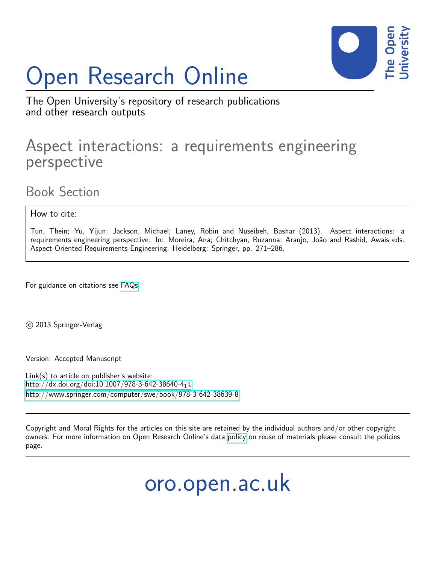# Open Research Online



The Open University's repository of research publications and other research outputs

## Aspect interactions: a requirements engineering perspective

Book Section

How to cite:

Tun, Thein; Yu, Yijun; Jackson, Michael; Laney, Robin and Nuseibeh, Bashar (2013). Aspect interactions: a requirements engineering perspective. In: Moreira, Ana; Chitchyan, Ruzanna; Araujo, João and Rashid, Awais eds. Aspect-Oriented Requirements Engineering. Heidelberg: Springer, pp. 271–286.

For guidance on citations see [FAQs.](http://oro.open.ac.uk/help/helpfaq.html)

c 2013 Springer-Verlag

Version: Accepted Manuscript

Link(s) to article on publisher's website: [http://dx.doi.org/doi:10.1007/978-3-642-38640-4](http://dx.doi.org/doi:10.1007/978-3-642-38640-4_14)14 <http://www.springer.com/computer/swe/book/978-3-642-38639-8>

Copyright and Moral Rights for the articles on this site are retained by the individual authors and/or other copyright owners. For more information on Open Research Online's data [policy](http://oro.open.ac.uk/policies.html) on reuse of materials please consult the policies page.

oro.open.ac.uk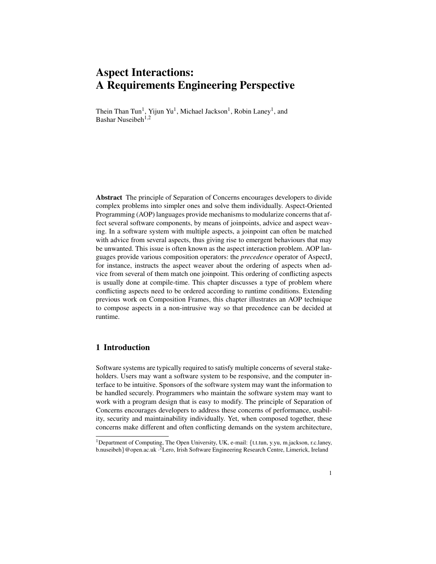Thein Than Tun<sup>1</sup>, Yijun Yu<sup>1</sup>, Michael Jackson<sup>1</sup>, Robin Laney<sup>1</sup>, and Bashar Nuseibeh $1,2$ 

Abstract The principle of Separation of Concerns encourages developers to divide complex problems into simpler ones and solve them individually. Aspect-Oriented Programming (AOP) languages provide mechanisms to modularize concerns that affect several software components, by means of joinpoints, advice and aspect weaving. In a software system with multiple aspects, a joinpoint can often be matched with advice from several aspects, thus giving rise to emergent behaviours that may be unwanted. This issue is often known as the aspect interaction problem. AOP languages provide various composition operators: the *precedence* operator of AspectJ, for instance, instructs the aspect weaver about the ordering of aspects when advice from several of them match one joinpoint. This ordering of conflicting aspects is usually done at compile-time. This chapter discusses a type of problem where conflicting aspects need to be ordered according to runtime conditions. Extending previous work on Composition Frames, this chapter illustrates an AOP technique to compose aspects in a non-intrusive way so that precedence can be decided at runtime.

#### 1 Introduction

Software systems are typically required to satisfy multiple concerns of several stakeholders. Users may want a software system to be responsive, and the computer interface to be intuitive. Sponsors of the software system may want the information to be handled securely. Programmers who maintain the software system may want to work with a program design that is easy to modify. The principle of Separation of Concerns encourages developers to address these concerns of performance, usability, security and maintainability individually. Yet, when composed together, these concerns make different and often conflicting demands on the system architecture,

<sup>1</sup>Department of Computing, The Open University, UK, e-mail: {t.t.tun, y.yu, m.jackson, r.c.laney, b.nuseibeh}@open.ac.uk · <sup>2</sup>Lero, Irish Software Engineering Research Centre, Limerick, Ireland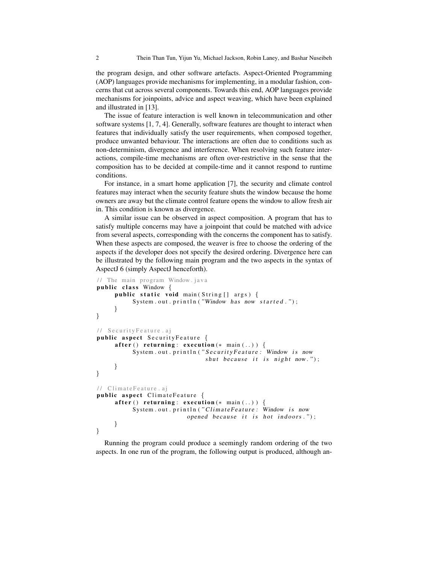the program design, and other software artefacts. Aspect-Oriented Programming (AOP) languages provide mechanisms for implementing, in a modular fashion, concerns that cut across several components. Towards this end, AOP languages provide mechanisms for joinpoints, advice and aspect weaving, which have been explained and illustrated in [13].

The issue of feature interaction is well known in telecommunication and other software systems [1, 7, 4]. Generally, software features are thought to interact when features that individually satisfy the user requirements, when composed together, produce unwanted behaviour. The interactions are often due to conditions such as non-determinism, divergence and interference. When resolving such feature interactions, compile-time mechanisms are often over-restrictive in the sense that the composition has to be decided at compile-time and it cannot respond to runtime conditions.

For instance, in a smart home application [7], the security and climate control features may interact when the security feature shuts the window because the home owners are away but the climate control feature opens the window to allow fresh air in. This condition is known as divergence.

A similar issue can be observed in aspect composition. A program that has to satisfy multiple concerns may have a joinpoint that could be matched with advice from several aspects, corresponding with the concerns the component has to satisfy. When these aspects are composed, the weaver is free to choose the ordering of the aspects if the developer does not specify the desired ordering. Divergence here can be illustrated by the following main program and the two aspects in the syntax of AspectJ 6 (simply AspectJ henceforth).

```
\frac{1}{\sqrt{2}} The main program Window . java
public class Window {
      public static void main (String [] args) {
            System . out . println ("Window has now started .");
      }
}
// Security Feature.aj
public aspect SecurityFeature {
      after () returning: execution (* main(...) )System.out.println ("SecurityFeature: Window is now
                                    shut because it is night now.");
      }
}
// ClimateFeature.aj
public aspect ClimateFeature {
      \mathbf{after}() \quad \mathbf{returning} : \quad \mathbf{execution} (*) \quad \text{main} (...) )System.out.println("ClimateFeature: Window is now
                              opened because it is hot indoors.");
      }
}
```
Running the program could produce a seemingly random ordering of the two aspects. In one run of the program, the following output is produced, although an-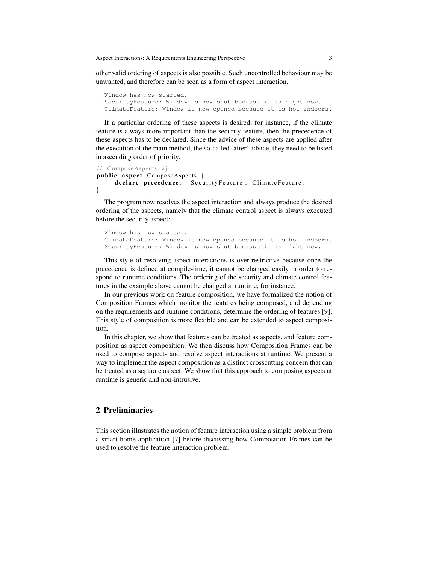other valid ordering of aspects is also possible. Such uncontrolled behaviour may be unwanted, and therefore can be seen as a form of aspect interaction.

```
Window has now started.
SecurityFeature: Window is now shut because it is night now.
ClimateFeature: Window is now opened because it is hot indoors.
```
If a particular ordering of these aspects is desired, for instance, if the climate feature is always more important than the security feature, then the precedence of these aspects has to be declared. Since the advice of these aspects are applied after the execution of the main method, the so-called 'after' advice, they need to be listed in ascending order of priority.

```
/ / ComposeAspects . a j
public aspect ComposeAspects {
     declare precedence: Security Feature, Climate Feature;
}
```
The program now resolves the aspect interaction and always produce the desired ordering of the aspects, namely that the climate control aspect is always executed before the security aspect:

```
Window has now started.
ClimateFeature: Window is now opened because it is hot indoors.
SecurityFeature: Window is now shut because it is night now.
```
This style of resolving aspect interactions is over-restrictive because once the precedence is defined at compile-time, it cannot be changed easily in order to respond to runtime conditions. The ordering of the security and climate control features in the example above cannot be changed at runtime, for instance.

In our previous work on feature composition, we have formalized the notion of Composition Frames which monitor the features being composed, and depending on the requirements and runtime conditions, determine the ordering of features [9]. This style of composition is more flexible and can be extended to aspect composition.

In this chapter, we show that features can be treated as aspects, and feature composition as aspect composition. We then discuss how Composition Frames can be used to compose aspects and resolve aspect interactions at runtime. We present a way to implement the aspect composition as a distinct crosscutting concern that can be treated as a separate aspect. We show that this approach to composing aspects at runtime is generic and non-intrusive.

#### 2 Preliminaries

This section illustrates the notion of feature interaction using a simple problem from a smart home application [7] before discussing how Composition Frames can be used to resolve the feature interaction problem.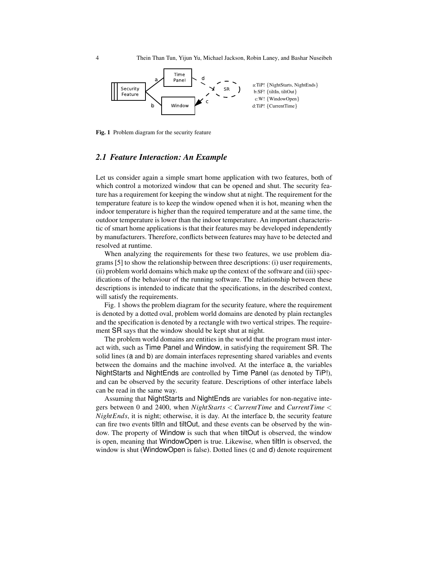

Fig. 1 Problem diagram for the security feature

#### *2.1 Feature Interaction: An Example*

Let us consider again a simple smart home application with two features, both of which control a motorized window that can be opened and shut. The security feature has a requirement for keeping the window shut at night. The requirement for the temperature feature is to keep the window opened when it is hot, meaning when the indoor temperature is higher than the required temperature and at the same time, the outdoor temperature is lower than the indoor temperature. An important characteristic of smart home applications is that their features may be developed independently by manufacturers. Therefore, conflicts between features may have to be detected and resolved at runtime.

When analyzing the requirements for these two features, we use problem diagrams [5] to show the relationship between three descriptions: (i) user requirements, (ii) problem world domains which make up the context of the software and (iii) specifications of the behaviour of the running software. The relationship between these descriptions is intended to indicate that the specifications, in the described context, will satisfy the requirements.

Fig. 1 shows the problem diagram for the security feature, where the requirement is denoted by a dotted oval, problem world domains are denoted by plain rectangles and the specification is denoted by a rectangle with two vertical stripes. The requirement SR says that the window should be kept shut at night.

The problem world domains are entities in the world that the program must interact with, such as Time Panel and Window, in satisfying the requirement SR. The solid lines (a and b) are domain interfaces representing shared variables and events between the domains and the machine involved. At the interface a, the variables NightStarts and NightEnds are controlled by Time Panel (as denoted by TiP!), and can be observed by the security feature. Descriptions of other interface labels can be read in the same way.

Assuming that NightStarts and NightEnds are variables for non-negative integers between 0 and 2400, when *NightStarts* < *CurrentTime* and *CurrentTime* < *NightEnds*, it is night; otherwise, it is day. At the interface b, the security feature can fire two events tiltIn and tiltOut, and these events can be observed by the window. The property of Window is such that when tiltOut is observed, the window is open, meaning that WindowOpen is true. Likewise, when tiltIn is observed, the window is shut (WindowOpen is false). Dotted lines (c and d) denote requirement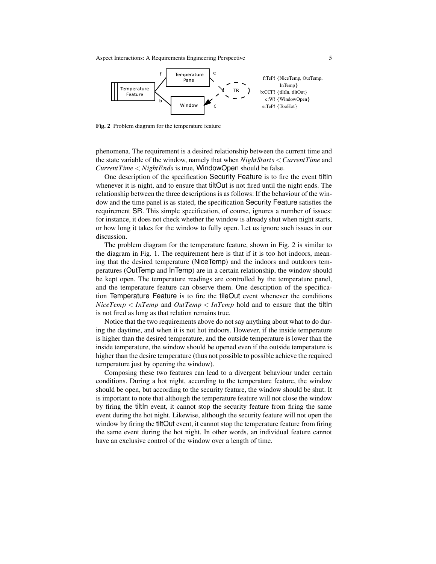

Fig. 2 Problem diagram for the temperature feature

phenomena. The requirement is a desired relationship between the current time and the state variable of the window, namely that when *NightStarts* < *CurrentTime* and *CurrentTime* < *NightEnds* is true, WindowOpen should be false.

One description of the specification Security Feature is to fire the event tiltIn whenever it is night, and to ensure that tilt Out is not fired until the night ends. The relationship between the three descriptions is as follows: If the behaviour of the window and the time panel is as stated, the specification Security Feature satisfies the requirement SR. This simple specification, of course, ignores a number of issues: for instance, it does not check whether the window is already shut when night starts, or how long it takes for the window to fully open. Let us ignore such issues in our discussion.

The problem diagram for the temperature feature, shown in Fig. 2 is similar to the diagram in Fig. 1. The requirement here is that if it is too hot indoors, meaning that the desired temperature (NiceTemp) and the indoors and outdoors temperatures (OutTemp and InTemp) are in a certain relationship, the window should be kept open. The temperature readings are controlled by the temperature panel, and the temperature feature can observe them. One description of the specification Temperature Feature is to fire the tileOut event whenever the conditions *NiceTemp*  $\lt$  *InTemp* and *OutTemp*  $\lt$  *InTemp* hold and to ensure that the tiltln is not fired as long as that relation remains true.

Notice that the two requirements above do not say anything about what to do during the daytime, and when it is not hot indoors. However, if the inside temperature is higher than the desired temperature, and the outside temperature is lower than the inside temperature, the window should be opened even if the outside temperature is higher than the desire temperature (thus not possible to possible achieve the required temperature just by opening the window).

Composing these two features can lead to a divergent behaviour under certain conditions. During a hot night, according to the temperature feature, the window should be open, but according to the security feature, the window should be shut. It is important to note that although the temperature feature will not close the window by firing the tiltIn event, it cannot stop the security feature from firing the same event during the hot night. Likewise, although the security feature will not open the window by firing the tiltOut event, it cannot stop the temperature feature from firing the same event during the hot night. In other words, an individual feature cannot have an exclusive control of the window over a length of time.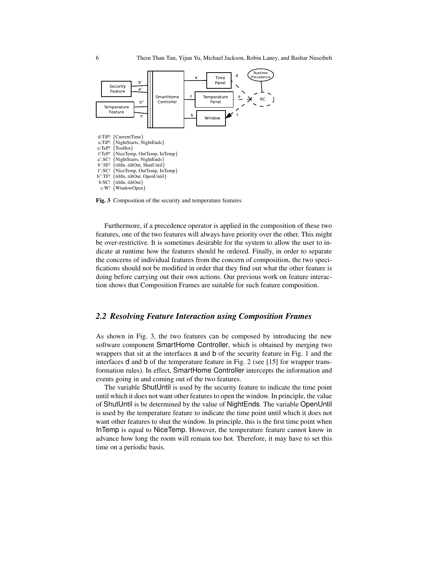

Fig. 3 Composition of the security and temperature features

Furthermore, if a precedence operator is applied in the composition of these two features, one of the two features will always have priority over the other. This might be over-restrictive. It is sometimes desirable for the system to allow the user to indicate at runtime how the features should be ordered. Finally, in order to separate the concerns of individual features from the concern of composition, the two specifications should not be modified in order that they find out what the other feature is doing before carrying out their own actions. Our previous work on feature interaction shows that Composition Frames are suitable for such feature composition.

#### *2.2 Resolving Feature Interaction using Composition Frames*

As shown in Fig. 3, the two features can be composed by introducing the new software component SmartHome Controller, which is obtained by merging two wrappers that sit at the interfaces a and b of the security feature in Fig. 1 and the interfaces d and b of the temperature feature in Fig. 2 (see [15] for wrapper transformation rules). In effect, SmartHome Controller intercepts the information and events going in and coming out of the two features.

The variable ShutUntil is used by the security feature to indicate the time point until which it does not want other features to open the window. In principle, the value of ShutUntil is be determined by the value of NightEnds. The variable OpenUntil is used by the temperature feature to indicate the time point until which it does not want other features to shut the window. In principle, this is the first time point when InTemp is equal to NiceTemp. However, the temperature feature cannot know in advance how long the room will remain too hot. Therefore, it may have to set this time on a periodic basis.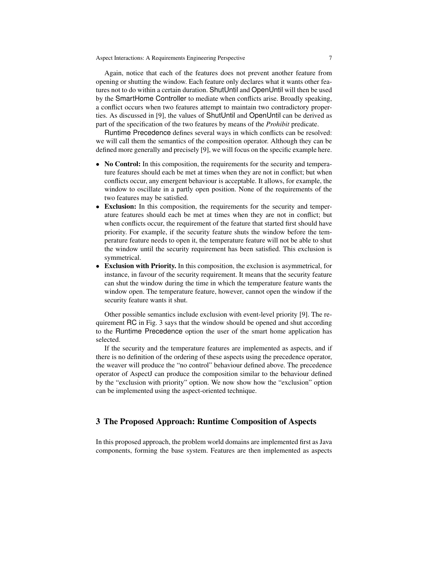Again, notice that each of the features does not prevent another feature from opening or shutting the window. Each feature only declares what it wants other features not to do within a certain duration. ShutUntil and OpenUntil will then be used by the SmartHome Controller to mediate when conflicts arise. Broadly speaking, a conflict occurs when two features attempt to maintain two contradictory properties. As discussed in [9], the values of ShutUntil and OpenUntil can be derived as part of the specification of the two features by means of the *Prohibit* predicate.

Runtime Precedence defines several ways in which conflicts can be resolved: we will call them the semantics of the composition operator. Although they can be defined more generally and precisely [9], we will focus on the specific example here.

- No Control: In this composition, the requirements for the security and temperature features should each be met at times when they are not in conflict; but when conflicts occur, any emergent behaviour is acceptable. It allows, for example, the window to oscillate in a partly open position. None of the requirements of the two features may be satisfied.
- Exclusion: In this composition, the requirements for the security and temperature features should each be met at times when they are not in conflict; but when conflicts occur, the requirement of the feature that started first should have priority. For example, if the security feature shuts the window before the temperature feature needs to open it, the temperature feature will not be able to shut the window until the security requirement has been satisfied. This exclusion is symmetrical.
- Exclusion with Priority. In this composition, the exclusion is asymmetrical, for instance, in favour of the security requirement. It means that the security feature can shut the window during the time in which the temperature feature wants the window open. The temperature feature, however, cannot open the window if the security feature wants it shut.

Other possible semantics include exclusion with event-level priority [9]. The requirement RC in Fig. 3 says that the window should be opened and shut according to the Runtime Precedence option the user of the smart home application has selected.

If the security and the temperature features are implemented as aspects, and if there is no definition of the ordering of these aspects using the precedence operator, the weaver will produce the "no control" behaviour defined above. The precedence operator of AspectJ can produce the composition similar to the behaviour defined by the "exclusion with priority" option. We now show how the "exclusion" option can be implemented using the aspect-oriented technique.

#### 3 The Proposed Approach: Runtime Composition of Aspects

In this proposed approach, the problem world domains are implemented first as Java components, forming the base system. Features are then implemented as aspects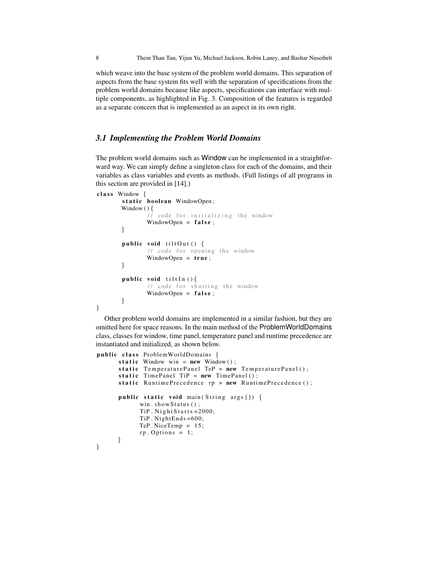which weave into the base system of the problem world domains. This separation of aspects from the base system fits well with the separation of specifications from the problem world domains because like aspects, specifications can interface with multiple components, as highlighted in Fig. 3. Composition of the features is regarded as a separate concern that is implemented as an aspect in its own right.

#### *3.1 Implementing the Problem World Domains*

The problem world domains such as Window can be implemented in a straightforward way. We can simply define a singleton class for each of the domains, and their variables as class variables and events as methods. (Full listings of all programs in this section are provided in [14].)

```
class Window \{static boolean WindowOpen;
       Window () {
                 code for initializing the window
              WindowOpen = false;
       }
       public void tiltOut () {
              // code for opening the window
              WindowOpen = true;}
       public void tiltIn (){
              // code for shutting the window
              WindowOpen = false;}
```
Other problem world domains are implemented in a similar fashion, but they are omitted here for space reasons. In the main method of the ProblemWorldDomains class, classes for window, time panel, temperature panel and runtime precedence are instantiated and initialized, as shown below.

```
public class ProblemWorldDomains {
      static Window win = new Window ();
      static TemperaturePanel TeP = new TemperaturePanel();
      static TimePanel TiP = new TimePanel();
      static RuntimePrecedence rp = new RuntimePrecedence ();
      public static void main (String args []) {
            win . show Status ();
            TiP. Night Starts = 2000;
            TiP. NightEnds=600;
            TeP. NiceTemp = 15;
            rp. Options = 1;
      }
}
```
}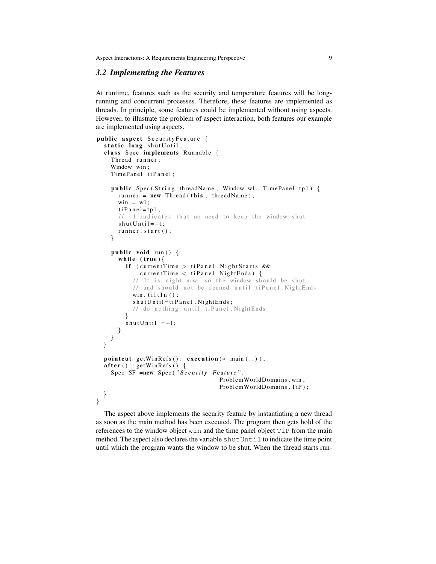#### *3.2 Implementing the Features*

At runtime, features such as the security and temperature features will be longrunning and concurrent processes. Therefore, these features are implemented as threads. In principle, some features could be implemented without using aspects. However, to illustrate the problem of aspect interaction, both features our example are implemented using aspects.

```
public aspect Security Feature {
  static long shut Until;
  class Spec implements Runnable {
    Thread runner;
    Window win ;
    TimePanel tiPanel;
    public Spec ( String thread Name, Window w1, TimePanel tp1) {
      runner = new Thread(this, threadName);win = w1;
      ti Panel = tp1;// -1 indicates that no need to keep the window shut
      s h u t U n t i l = -1;
      r unner . start ();
    }
    public void run() {
      while (true) {
         if ( current Time \frac{1}{2} ti Panel . Night Starts &&
             currentTime < tiPanel. NightEnds) {
           // It is night now, so the window should be shut
           \frac{1}{2} and should not be opened until tiPanel. NightEnds
           win. \text{tiltIn}();
           shutUnit1 = ti Panel. NightEnds;
           // do nothing until tiPanel. NightEnds
         }
         shut Uniti = -1;}
    }
  }
  pointcut getWinRefs(): execution(* main(..));
  after (): getWinRefs() { }Spec SF =new Spec ("Security Feature",
                                      ProblemWorldDomains . win,
                                      ProblemWorldDomains.TiP);
  }
}
```
The aspect above implements the security feature by instantiating a new thread as soon as the main method has been executed. The program then gets hold of the references to the window object win and the time panel object TiP from the main method. The aspect also declares the variable shutUntil to indicate the time point until which the program wants the window to be shut. When the thread starts run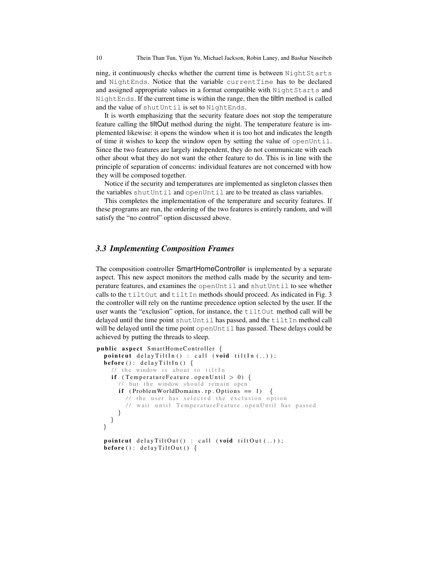ning, it continuously checks whether the current time is between NightStarts and NightEnds. Notice that the variable currentTime has to be declared and assigned appropriate values in a format compatible with NightStarts and  $N$ ightEnds. If the current time is within the range, then the tilt $\ln$  method is called and the value of shutUntil is set to NightEnds.

It is worth emphasizing that the security feature does not stop the temperature feature calling the tiltOut method during the night. The temperature feature is implemented likewise: it opens the window when it is too hot and indicates the length of time it wishes to keep the window open by setting the value of openUntil. Since the two features are largely independent, they do not communicate with each other about what they do not want the other feature to do. This is in line with the principle of separation of concerns: individual features are not concerned with how they will be composed together.

Notice if the security and temperatures are implemented as singleton classes then the variables shutUntil and openUntil are to be treated as class variables.

This completes the implementation of the temperature and security features. If these programs are run, the ordering of the two features is entirely random, and will satisfy the "no control" option discussed above.

#### *3.3 Implementing Composition Frames*

The composition controller SmartHomeController is implemented by a separate aspect. This new aspect monitors the method calls made by the security and temperature features, and examines the openUntil and shutUntil to see whether calls to the tiltOut and tiltIn methods should proceed. As indicated in Fig. 3 the controller will rely on the runtime precedence option selected by the user. If the user wants the "exclusion" option, for instance, the tiltOut method call will be delayed until the time point shutUntil has passed, and the tiltIn method call will be delayed until the time point openUntil has passed. These delays could be achieved by putting the threads to sleep.

```
public aspect SmartHomeController {
  pointcut delay TiltIn () : call (void tiltIn (...));
  before(): delayTiltIn () {
    \frac{1}{\sqrt{2}} the window is about to tiltIn
    if (Temperature Feature . open Until > 0) {
      11 but the window should remain open
      if (Problem WorldDomains.rp. Options == 1) {
        \frac{1}{\sqrt{2}} the user has selected the exclusion option
        // wait until TemperatureFeature.openUntil has passed
      }
    }
  }
  pointcut delayTiltOut() : call (void tiltOut(..));
  before(): delayTiltOut() {
```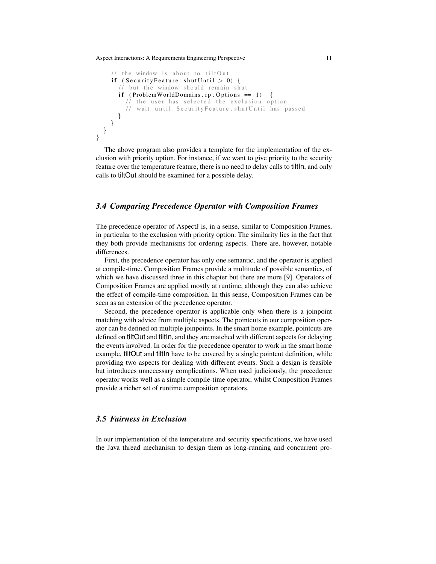}

```
\frac{1}{\sqrt{2}} the window is about to tiltOut
   if (Security Feature . shut Until > 0) {
     11 but the window should remain shut
     if (ProblemWorldDomains.rp.Options == 1) {
       11 the user has selected the exclusion option
       // wait until SecurityFeature.shutUntil has passed
     }
  }
}
```
The above program also provides a template for the implementation of the exclusion with priority option. For instance, if we want to give priority to the security feature over the temperature feature, there is no need to delay calls to tiltIn, and only calls to tiltOut should be examined for a possible delay.

#### *3.4 Comparing Precedence Operator with Composition Frames*

The precedence operator of AspectJ is, in a sense, similar to Composition Frames, in particular to the exclusion with priority option. The similarity lies in the fact that they both provide mechanisms for ordering aspects. There are, however, notable differences.

First, the precedence operator has only one semantic, and the operator is applied at compile-time. Composition Frames provide a multitude of possible semantics, of which we have discussed three in this chapter but there are more [9]. Operators of Composition Frames are applied mostly at runtime, although they can also achieve the effect of compile-time composition. In this sense, Composition Frames can be seen as an extension of the precedence operator.

Second, the precedence operator is applicable only when there is a joinpoint matching with advice from multiple aspects. The pointcuts in our composition operator can be defined on multiple joinpoints. In the smart home example, pointcuts are defined on tiltOut and tiltIn, and they are matched with different aspects for delaying the events involved. In order for the precedence operator to work in the smart home example, tiltOut and tiltIn have to be covered by a single pointcut definition, while providing two aspects for dealing with different events. Such a design is feasible but introduces unnecessary complications. When used judiciously, the precedence operator works well as a simple compile-time operator, whilst Composition Frames provide a richer set of runtime composition operators.

#### *3.5 Fairness in Exclusion*

In our implementation of the temperature and security specifications, we have used the Java thread mechanism to design them as long-running and concurrent pro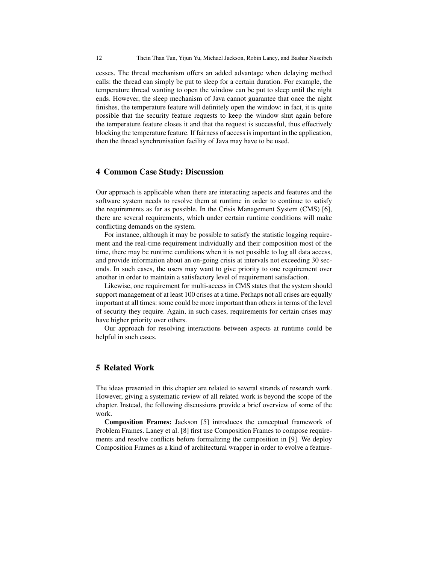cesses. The thread mechanism offers an added advantage when delaying method calls: the thread can simply be put to sleep for a certain duration. For example, the temperature thread wanting to open the window can be put to sleep until the night ends. However, the sleep mechanism of Java cannot guarantee that once the night finishes, the temperature feature will definitely open the window: in fact, it is quite possible that the security feature requests to keep the window shut again before the temperature feature closes it and that the request is successful, thus effectively blocking the temperature feature. If fairness of access is important in the application, then the thread synchronisation facility of Java may have to be used.

#### 4 Common Case Study: Discussion

Our approach is applicable when there are interacting aspects and features and the software system needs to resolve them at runtime in order to continue to satisfy the requirements as far as possible. In the Crisis Management System (CMS) [6], there are several requirements, which under certain runtime conditions will make conflicting demands on the system.

For instance, although it may be possible to satisfy the statistic logging requirement and the real-time requirement individually and their composition most of the time, there may be runtime conditions when it is not possible to log all data access, and provide information about an on-going crisis at intervals not exceeding 30 seconds. In such cases, the users may want to give priority to one requirement over another in order to maintain a satisfactory level of requirement satisfaction.

Likewise, one requirement for multi-access in CMS states that the system should support management of at least 100 crises at a time. Perhaps not all crises are equally important at all times: some could be more important than others in terms of the level of security they require. Again, in such cases, requirements for certain crises may have higher priority over others.

Our approach for resolving interactions between aspects at runtime could be helpful in such cases.

#### 5 Related Work

The ideas presented in this chapter are related to several strands of research work. However, giving a systematic review of all related work is beyond the scope of the chapter. Instead, the following discussions provide a brief overview of some of the work.

Composition Frames: Jackson [5] introduces the conceptual framework of Problem Frames. Laney et al. [8] first use Composition Frames to compose requirements and resolve conflicts before formalizing the composition in [9]. We deploy Composition Frames as a kind of architectural wrapper in order to evolve a feature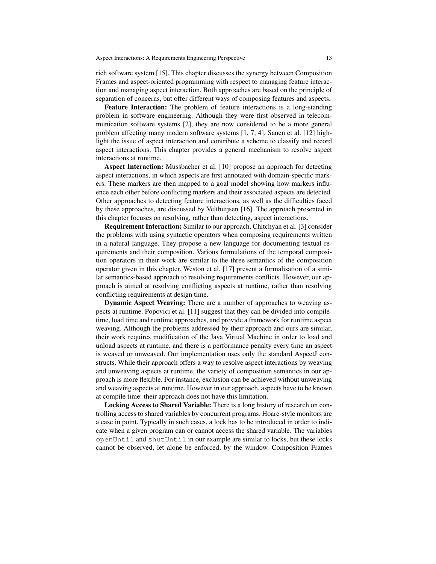rich software system [15]. This chapter discusses the synergy between Composition Frames and aspect-oriented programming with respect to managing feature interaction and managing aspect interaction. Both approaches are based on the principle of separation of concerns, but offer different ways of composing features and aspects.

Feature Interaction: The problem of feature interactions is a long-standing problem in software engineering. Although they were first observed in telecommunication software systems [2], they are now considered to be a more general problem affecting many modern software systems [1, 7, 4]. Sanen et al. [12] highlight the issue of aspect interaction and contribute a scheme to classify and record aspect interactions. This chapter provides a general mechanism to resolve aspect interactions at runtime.

Aspect Interaction: Mussbacher et al. [10] propose an approach for detecting aspect interactions, in which aspects are first annotated with domain-specific markers. These markers are then mapped to a goal model showing how markers influence each other before conflicting markers and their associated aspects are detected. Other approaches to detecting feature interactions, as well as the difficulties faced by these approaches, are discussed by Velthuijsen [16]. The approach presented in this chapter focuses on resolving, rather than detecting, aspect interactions.

Requirement Interaction: Similar to our approach, Chitchyan et al. [3] consider the problems with using syntactic operators when composing requirements written in a natural language. They propose a new language for documenting textual requirements and their composition. Various formulations of the temporal composition operators in their work are similar to the three semantics of the composition operator given in this chapter. Weston et al. [17] present a formalisation of a similar semantics-based approach to resolving requirements conflicts. However, our approach is aimed at resolving conflicting aspects at runtime, rather than resolving conflicting requirements at design time.

Dynamic Aspect Weaving: There are a number of approaches to weaving aspects at runtime. Popovici et al. [11] suggest that they can be divided into compiletime, load time and runtime approaches, and provide a framework for runtime aspect weaving. Although the problems addressed by their approach and ours are similar, their work requires modification of the Java Virtual Machine in order to load and unload aspects at runtime, and there is a performance penalty every time an aspect is weaved or unweaved. Our implementation uses only the standard AspectJ constructs. While their approach offers a way to resolve aspect interactions by weaving and unweaving aspects at runtime, the variety of composition semantics in our approach is more flexible. For instance, exclusion can be achieved without unweaving and weaving aspects at runtime. However in our approach, aspects have to be known at compile time: their approach does not have this limitation.

Locking Access to Shared Variable: There is a long history of research on controlling access to shared variables by concurrent programs. Hoare-style monitors are a case in point. Typically in such cases, a lock has to be introduced in order to indicate when a given program can or cannot access the shared variable. The variables openUntil and shutUntil in our example are similar to locks, but these locks cannot be observed, let alone be enforced, by the window. Composition Frames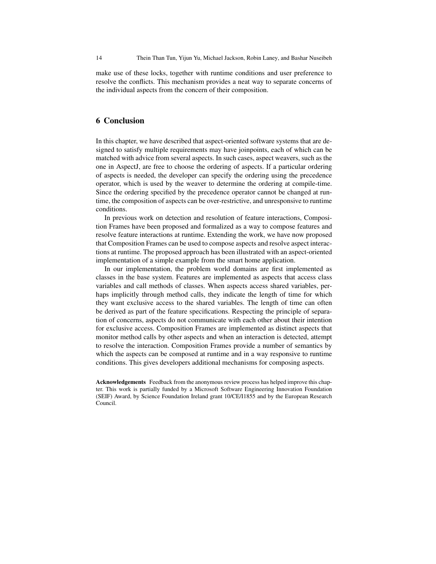make use of these locks, together with runtime conditions and user preference to resolve the conflicts. This mechanism provides a neat way to separate concerns of the individual aspects from the concern of their composition.

#### 6 Conclusion

In this chapter, we have described that aspect-oriented software systems that are designed to satisfy multiple requirements may have joinpoints, each of which can be matched with advice from several aspects. In such cases, aspect weavers, such as the one in AspectJ, are free to choose the ordering of aspects. If a particular ordering of aspects is needed, the developer can specify the ordering using the precedence operator, which is used by the weaver to determine the ordering at compile-time. Since the ordering specified by the precedence operator cannot be changed at runtime, the composition of aspects can be over-restrictive, and unresponsive to runtime conditions.

In previous work on detection and resolution of feature interactions, Composition Frames have been proposed and formalized as a way to compose features and resolve feature interactions at runtime. Extending the work, we have now proposed that Composition Frames can be used to compose aspects and resolve aspect interactions at runtime. The proposed approach has been illustrated with an aspect-oriented implementation of a simple example from the smart home application.

In our implementation, the problem world domains are first implemented as classes in the base system. Features are implemented as aspects that access class variables and call methods of classes. When aspects access shared variables, perhaps implicitly through method calls, they indicate the length of time for which they want exclusive access to the shared variables. The length of time can often be derived as part of the feature specifications. Respecting the principle of separation of concerns, aspects do not communicate with each other about their intention for exclusive access. Composition Frames are implemented as distinct aspects that monitor method calls by other aspects and when an interaction is detected, attempt to resolve the interaction. Composition Frames provide a number of semantics by which the aspects can be composed at runtime and in a way responsive to runtime conditions. This gives developers additional mechanisms for composing aspects.

Acknowledgements Feedback from the anonymous review process has helped improve this chapter. This work is partially funded by a Microsoft Software Engineering Innovation Foundation (SEIF) Award, by Science Foundation Ireland grant 10/CE/I1855 and by the European Research Council.